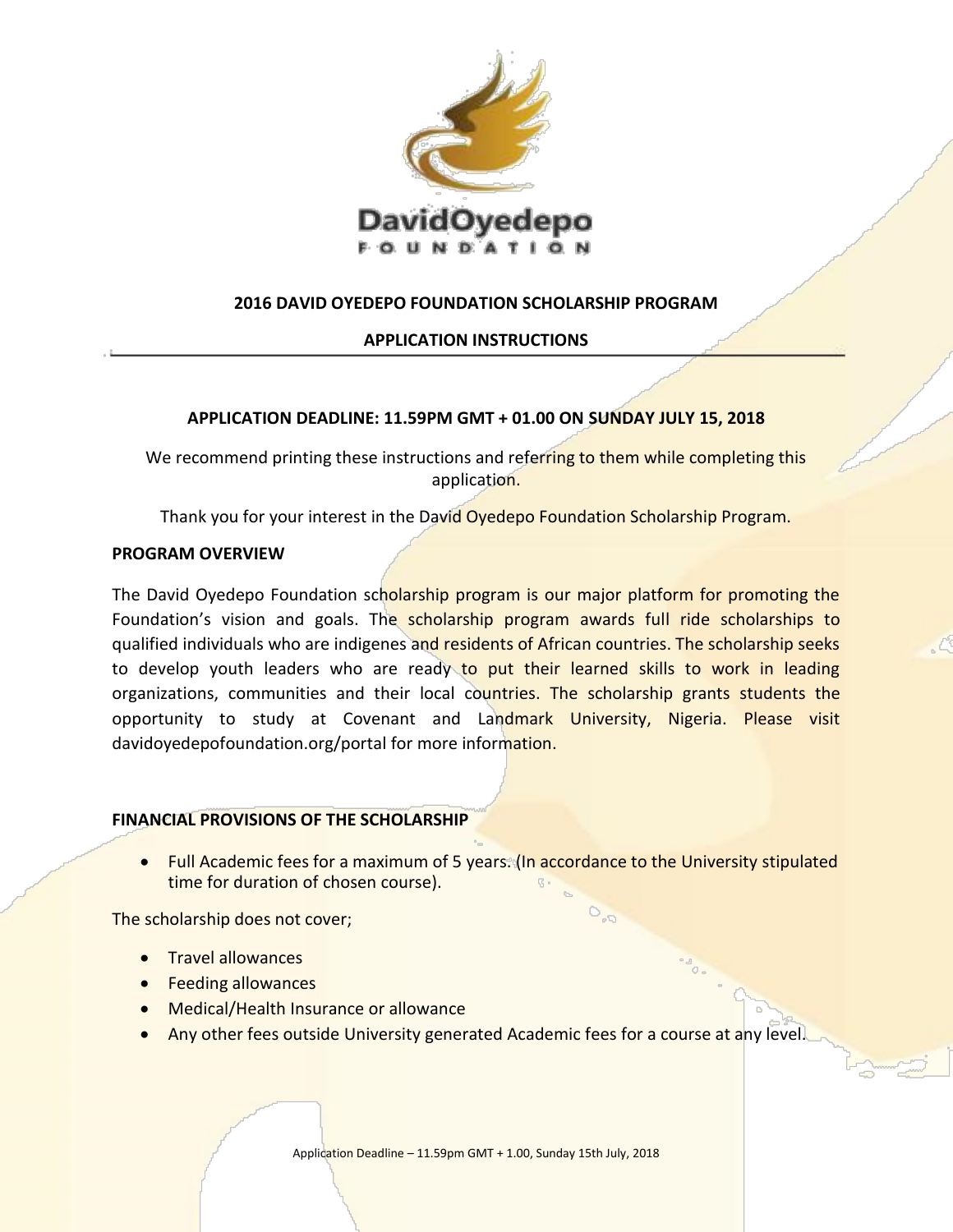

# **2016 DAVID OYEDEPO FOUNDATION SCHOLARSHIP PROGRAM**

## **APPLICATION INSTRUCTIONS**

## **APPLICATION DEADLINE: 11.59PM GMT + 01.00 ON SUNDAY JULY 15, 2018**

We recommend printing these instructions and referring to them while completing this application.

Thank you for your interest in the David Oyedepo Foundation Scholarship Program.

## **PROGRAM OVERVIEW**

The David Oyedepo Foundation scholarship program is our major platform for promoting the Foundation's vision and goals. The scholarship program awards full ride scholarships to qualified individuals who are indigenes and residents of African countries. The scholarship seeks to develop youth leaders who are ready to put their learned skills to work in leading organizations, communities and their local countries. The scholarship grants students the opportunity to study at Covenant and Landmark University, Nigeria. Please visit davidoyedepofoundation.org/portal for more information.

## **FINANCIAL PROVISIONS OF THE SCHOLARSHIP**

• Full Academic fees for a maximum of 5 years. (In accordance to the University stipulated time for duration of chosen course).

The scholarship does not cover;

- **•** Travel allowances
- **•** Feeding allowances
- Medical/Health Insurance or allowance
- Any other fees outside University generated Academic fees for a course at any level.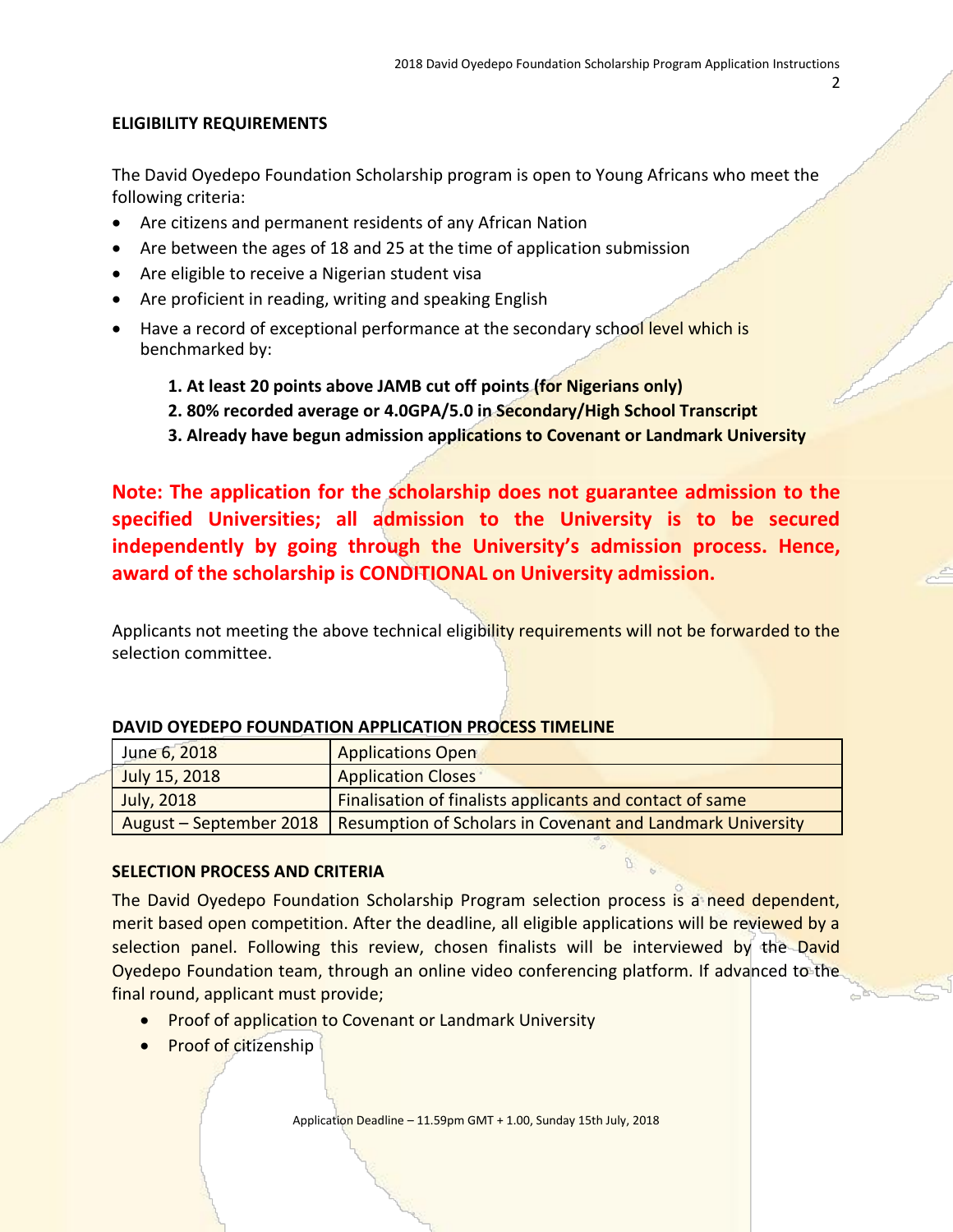## 2

# **ELIGIBILITY REQUIREMENTS**

The David Oyedepo Foundation Scholarship program is open to Young Africans who meet the following criteria:

- Are citizens and permanent residents of any African Nation
- Are between the ages of 18 and 25 at the time of application submission
- Are eligible to receive a Nigerian student visa
- Are proficient in reading, writing and speaking English
- Have a record of exceptional performance at the secondary school level which is benchmarked by:
	- **1. At least 20 points above JAMB cut off points (for Nigerians only)**
	- **2. 80% recorded average or 4.0GPA/5.0 in Secondary/High School Transcript**
	- **3. Already have begun admission applications to Covenant or Landmark University**

**Note: The application for the scholarship does not guarantee admission to the specified Universities; all admission to the University is to be secured independently by going through the University's admission process. Hence, award of the scholarship is CONDITIONAL on University admission.**

Applicants not meeting the above technical eligibility requirements will not be forwarded to the selection committee.

| June 6, 2018  | <b>Applications Open</b>                                                             |
|---------------|--------------------------------------------------------------------------------------|
| July 15, 2018 | <b>Application Closes</b>                                                            |
| July, 2018    | Finalisation of finalists applicants and contact of same                             |
|               | August – September 2018   Resumption of Scholars in Covenant and Landmark University |

## **DAVID OYEDEPO FOUNDATION APPLICATION PROCESS TIMELINE**

## **SELECTION PROCESS AND CRITERIA**

The David Oyedepo Foundation Scholarship Program selection process is a need dependent, merit based open competition. After the deadline, all eligible applications will be reviewed by a selection panel. Following this review, chosen finalists will be interviewed by the David Oyedepo Foundation team, through an online video conferencing platform. If advanced to the final round, applicant must provide;

- Proof of application to Covenant or Landmark University
- Proof of citizenship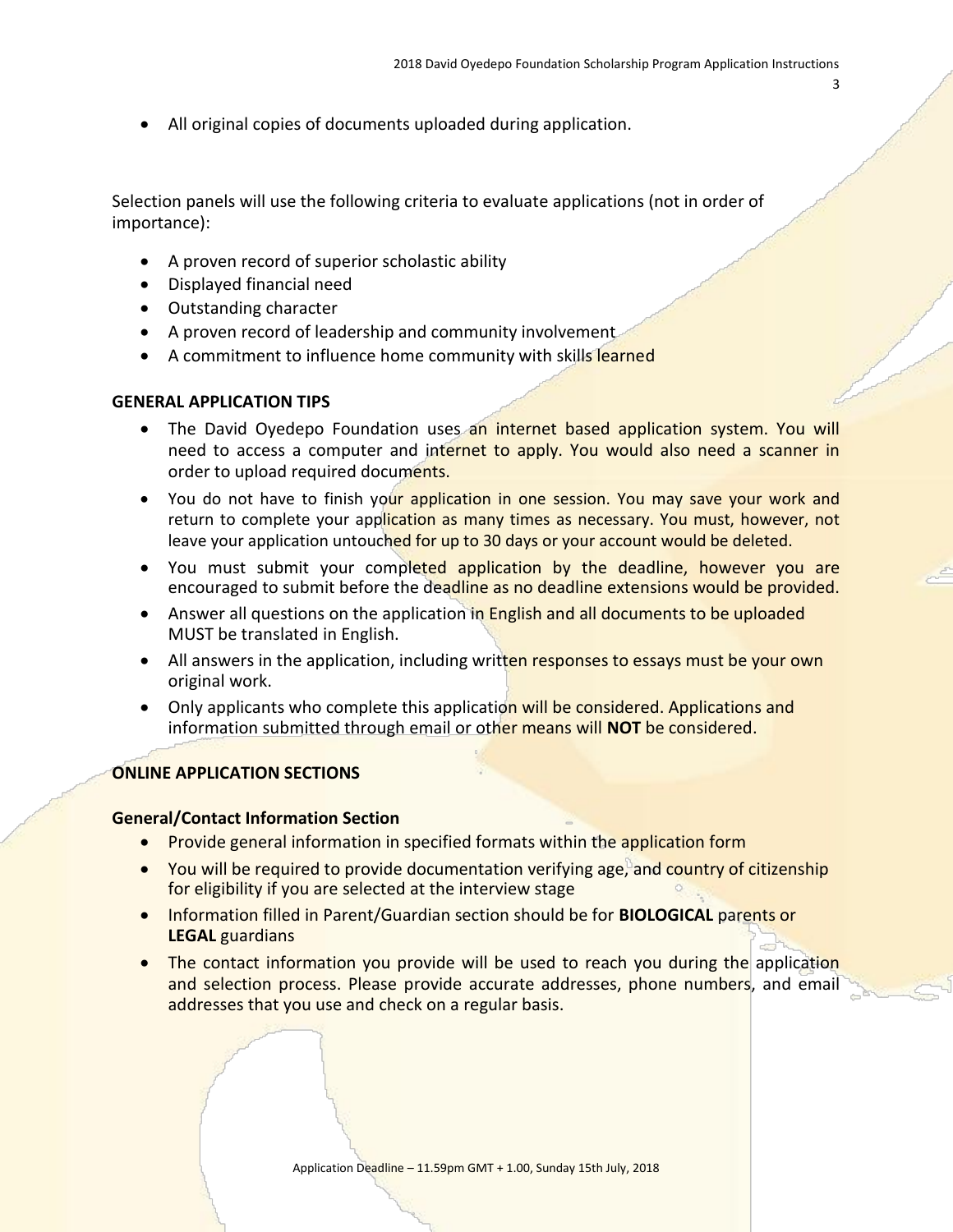All original copies of documents uploaded during application.

Selection panels will use the following criteria to evaluate applications (not in order of importance):

- A proven record of superior scholastic ability
- Displayed financial need
- Outstanding character
- A proven record of leadership and community involvement
- A commitment to influence home community with skills learned

### **GENERAL APPLICATION TIPS**

- The David Oyedepo Foundation uses an internet based application system. You will need to access a computer and internet to apply. You would also need a scanner in order to upload required documents.
- You do not have to finish your application in one session. You may save your work and return to complete your application as many times as necessary. You must, however, not leave your application untouched for up to 30 days or your account would be deleted.
- You must submit your completed application by the deadline, however you are encouraged to submit before the deadline as no deadline extensions would be provided.
- Answer all questions on the application in English and all documents to be uploaded MUST be translated in English.
- All answers in the application, including written responses to essays must be your own original work.
- Only applicants who complete this application will be considered. Applications and information submitted through email or other means will **NOT** be considered.

### **ONLINE APPLICATION SECTIONS**

### **General/Contact Information Section**

- Provide general information in specified formats within the application form
- You will be required to provide documentation verifying age, and country of citizenship for eligibility if you are selected at the interview stage
- **.** Information filled in Parent/Guardian section should be for **BIOLOGICAL** parents or **LEGAL** guardians
- The contact information you provide will be used to reach you during the application and selection process. Please provide accurate addresses, phone numbers, and email addresses that you use and check on a regular basis.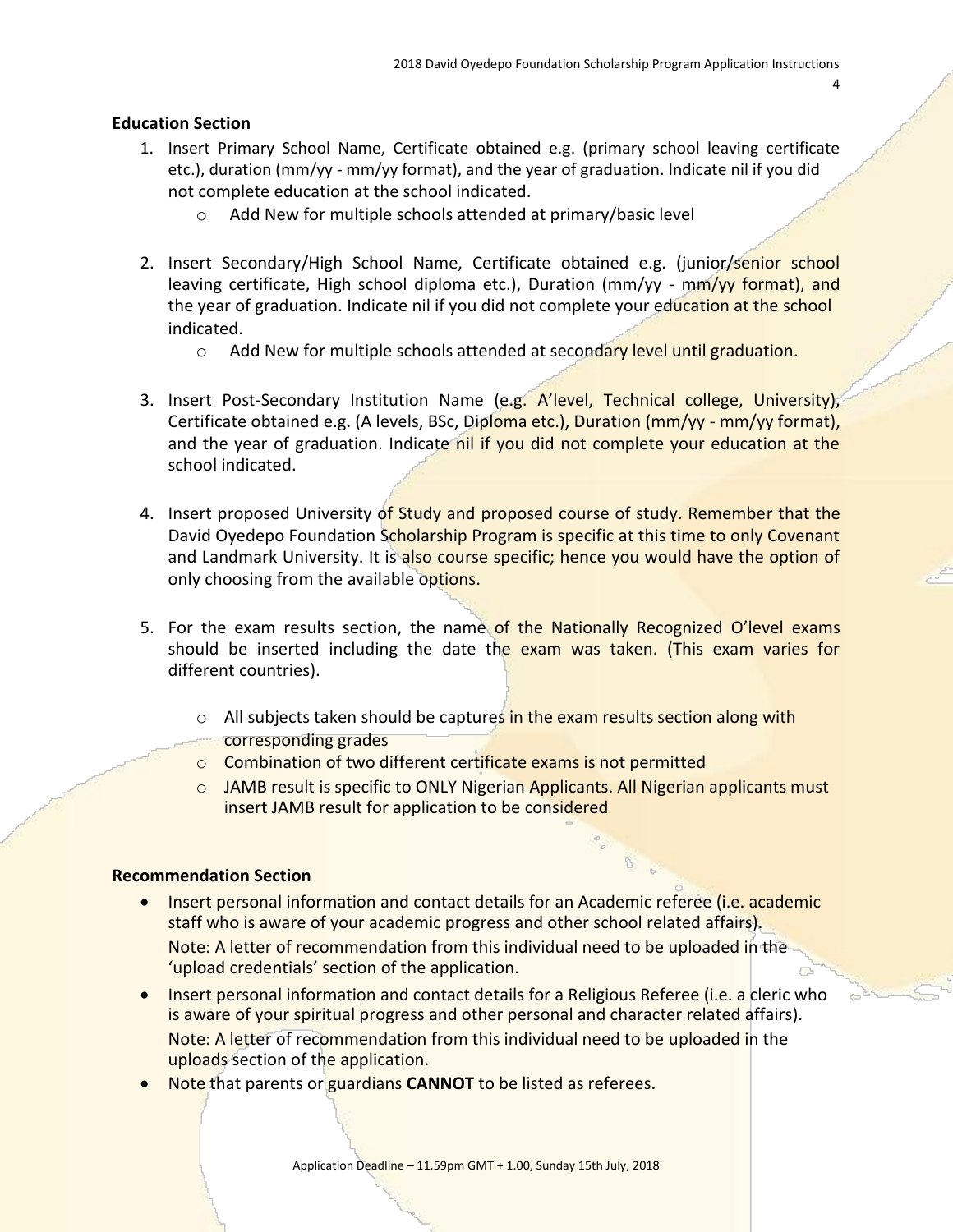#### **Education Section**

- 1. Insert Primary School Name, Certificate obtained e.g. (primary school leaving certificate etc.), duration (mm/yy - mm/yy format), and the year of graduation. Indicate nil if you did not complete education at the school indicated.
	- o Add New for multiple schools attended at primary/basic level
- 2. Insert Secondary/High School Name, Certificate obtained e.g. (junior/senior school leaving certificate, High school diploma etc.), Duration (mm/yy - mm/yy format), and the year of graduation. Indicate nil if you did not complete your education at the school indicated.
	- o Add New for multiple schools attended at secondary level until graduation.
- 3. Insert Post-Secondary Institution Name (e.g. A'level, Technical college, University), Certificate obtained e.g. (A levels, BSc, Diploma etc.), Duration (mm/yy - mm/yy format), and the year of graduation. Indicate nil if you did not complete your education at the school indicated.
- 4. Insert proposed University of Study and proposed course of study. Remember that the David Oyedepo Foundation Scholarship Program is specific at this time to only Covenant and Landmark University. It is also course specific; hence you would have the option of only choosing from the available options.
- 5. For the exam results section, the name of the Nationally Recognized O'level exams should be inserted including the date the exam was taken. (This exam varies for different countries).
	- o All subjects taken should be captures in the exam results section along with corresponding grades
	- o Combination of two different certificate exams is not permitted
	- o JAMB result is specific to ONLY Nigerian Applicants. All Nigerian applicants must insert JAMB result for application to be considered

#### **Recommendation Section**

- **Insert personal information and contact details for an Academic referee (i.e. academic** staff who is aware of your academic progress and other school related affairs). Note: A letter of recommendation from this individual need to be uploaded in the 'upload credentials' section of the application.
- **Insert personal information and contact details for a Religious Referee (i.e. a cleric who** is aware of your spiritual progress and other personal and character related affairs). Note: A letter of recommendation from this individual need to be uploaded in the uploads section of the application.
- **Note that parents or guardians CANNOT to be listed as referees.**